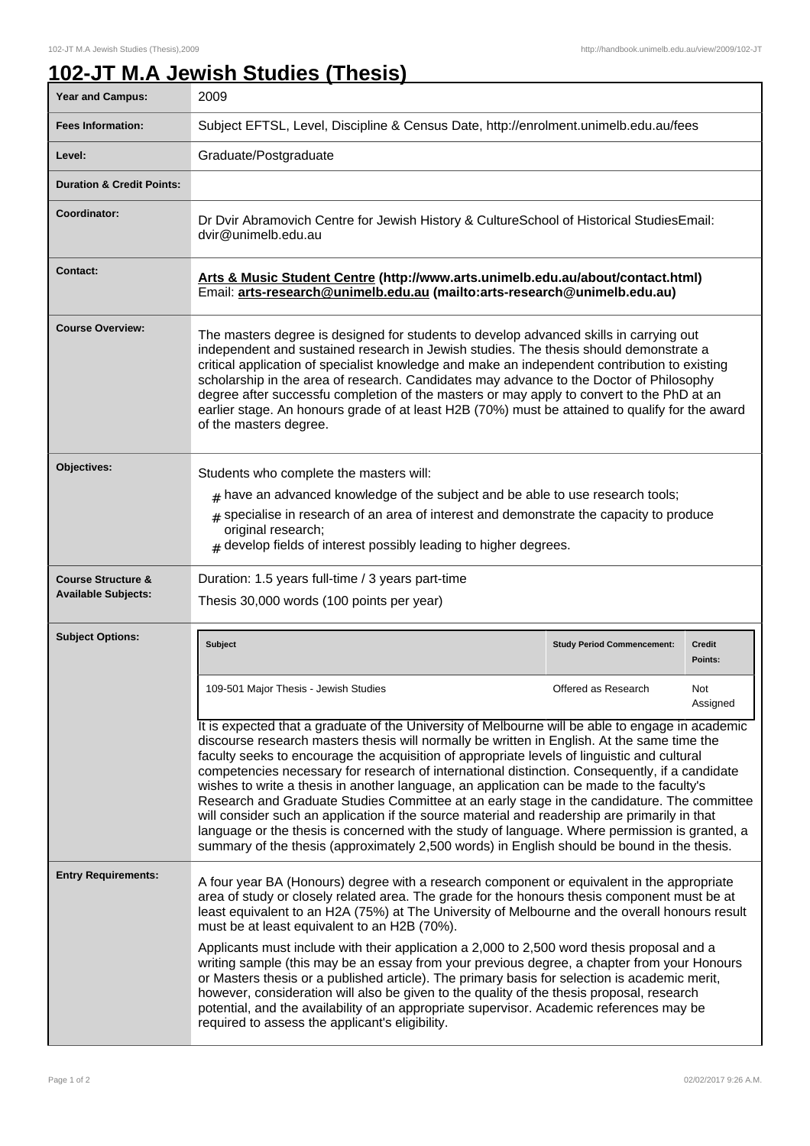## **102-JT M.A Jewish Studies (Thesis)**

| <b>Year and Campus:</b>                                     | 2009                                                                                                                                                                                                                                                                                                                                                                                                                                                                                                                                                                                                                                                                                                                                                                                                                                                                                           |                                   |                   |
|-------------------------------------------------------------|------------------------------------------------------------------------------------------------------------------------------------------------------------------------------------------------------------------------------------------------------------------------------------------------------------------------------------------------------------------------------------------------------------------------------------------------------------------------------------------------------------------------------------------------------------------------------------------------------------------------------------------------------------------------------------------------------------------------------------------------------------------------------------------------------------------------------------------------------------------------------------------------|-----------------------------------|-------------------|
| <b>Fees Information:</b>                                    | Subject EFTSL, Level, Discipline & Census Date, http://enrolment.unimelb.edu.au/fees                                                                                                                                                                                                                                                                                                                                                                                                                                                                                                                                                                                                                                                                                                                                                                                                           |                                   |                   |
| Level:                                                      | Graduate/Postgraduate                                                                                                                                                                                                                                                                                                                                                                                                                                                                                                                                                                                                                                                                                                                                                                                                                                                                          |                                   |                   |
| <b>Duration &amp; Credit Points:</b>                        |                                                                                                                                                                                                                                                                                                                                                                                                                                                                                                                                                                                                                                                                                                                                                                                                                                                                                                |                                   |                   |
| Coordinator:                                                | Dr Dvir Abramovich Centre for Jewish History & CultureSchool of Historical StudiesEmail:<br>dvir@unimelb.edu.au                                                                                                                                                                                                                                                                                                                                                                                                                                                                                                                                                                                                                                                                                                                                                                                |                                   |                   |
| Contact:                                                    | Arts & Music Student Centre (http://www.arts.unimelb.edu.au/about/contact.html)<br>Email: arts-research@unimelb.edu.au (mailto:arts-research@unimelb.edu.au)                                                                                                                                                                                                                                                                                                                                                                                                                                                                                                                                                                                                                                                                                                                                   |                                   |                   |
| <b>Course Overview:</b>                                     | The masters degree is designed for students to develop advanced skills in carrying out<br>independent and sustained research in Jewish studies. The thesis should demonstrate a<br>critical application of specialist knowledge and make an independent contribution to existing<br>scholarship in the area of research. Candidates may advance to the Doctor of Philosophy<br>degree after successfu completion of the masters or may apply to convert to the PhD at an<br>earlier stage. An honours grade of at least H2B (70%) must be attained to qualify for the award<br>of the masters degree.                                                                                                                                                                                                                                                                                          |                                   |                   |
| Objectives:                                                 | Students who complete the masters will:<br>$#$ have an advanced knowledge of the subject and be able to use research tools;<br>$*$ specialise in research of an area of interest and demonstrate the capacity to produce<br>original research;<br>$#$ develop fields of interest possibly leading to higher degrees.                                                                                                                                                                                                                                                                                                                                                                                                                                                                                                                                                                           |                                   |                   |
| <b>Course Structure &amp;</b><br><b>Available Subjects:</b> | Duration: 1.5 years full-time / 3 years part-time<br>Thesis 30,000 words (100 points per year)                                                                                                                                                                                                                                                                                                                                                                                                                                                                                                                                                                                                                                                                                                                                                                                                 |                                   |                   |
| <b>Subject Options:</b>                                     | <b>Subject</b>                                                                                                                                                                                                                                                                                                                                                                                                                                                                                                                                                                                                                                                                                                                                                                                                                                                                                 | <b>Study Period Commencement:</b> | Credit<br>Points: |
|                                                             | 109-501 Major Thesis - Jewish Studies                                                                                                                                                                                                                                                                                                                                                                                                                                                                                                                                                                                                                                                                                                                                                                                                                                                          | Offered as Research               | Not<br>Assigned   |
|                                                             | It is expected that a graduate of the University of Melbourne will be able to engage in academic<br>discourse research masters thesis will normally be written in English. At the same time the<br>faculty seeks to encourage the acquisition of appropriate levels of linguistic and cultural<br>competencies necessary for research of international distinction. Consequently, if a candidate<br>wishes to write a thesis in another language, an application can be made to the faculty's<br>Research and Graduate Studies Committee at an early stage in the candidature. The committee<br>will consider such an application if the source material and readership are primarily in that<br>language or the thesis is concerned with the study of language. Where permission is granted, a<br>summary of the thesis (approximately 2,500 words) in English should be bound in the thesis. |                                   |                   |
| <b>Entry Requirements:</b>                                  | A four year BA (Honours) degree with a research component or equivalent in the appropriate<br>area of study or closely related area. The grade for the honours thesis component must be at<br>least equivalent to an H2A (75%) at The University of Melbourne and the overall honours result<br>must be at least equivalent to an H2B (70%).                                                                                                                                                                                                                                                                                                                                                                                                                                                                                                                                                   |                                   |                   |
|                                                             | Applicants must include with their application a 2,000 to 2,500 word thesis proposal and a<br>writing sample (this may be an essay from your previous degree, a chapter from your Honours<br>or Masters thesis or a published article). The primary basis for selection is academic merit,<br>however, consideration will also be given to the quality of the thesis proposal, research<br>potential, and the availability of an appropriate supervisor. Academic references may be                                                                                                                                                                                                                                                                                                                                                                                                            |                                   |                   |